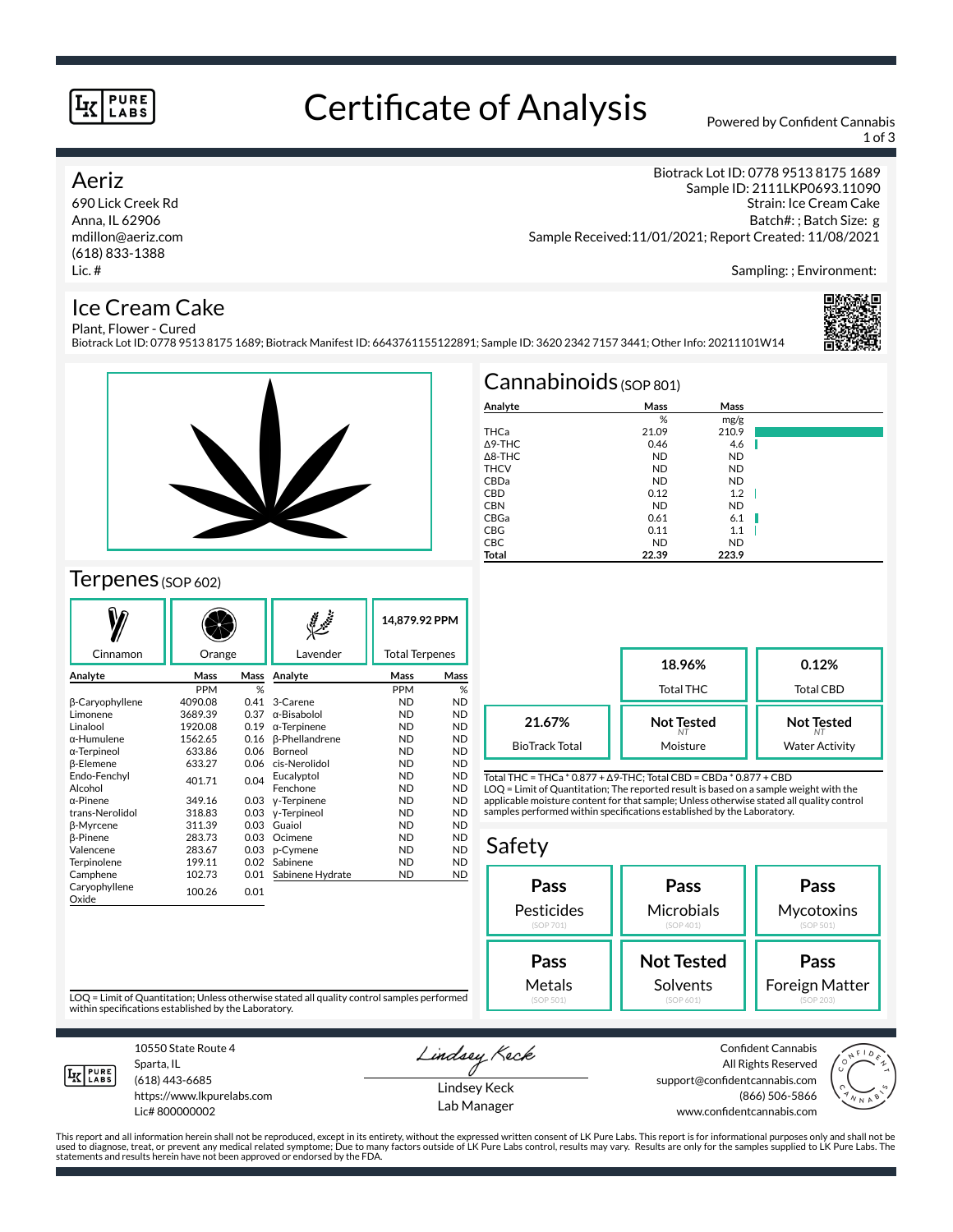#### **PURE** LABS

## Certificate of Analysis Powered by Confident Cannabis

1 of 3

#### Aeriz

690 Lick Creek Rd Anna, IL 62906 mdillon@aeriz.com (618) 833-1388 Lic. #

Biotrack Lot ID: 0778 9513 8175 1689 Sample ID: 2111LKP0693.11090 Strain: Ice Cream Cake Batch#: ; Batch Size: g Sample Received:11/01/2021; Report Created: 11/08/2021

Sampling: ; Environment:

#### Ice Cream Cake

Plant, Flower - Cured Biotrack Lot ID: 0778 9513 8175 1689; Biotrack Manifest ID: 6643761155122891; Sample ID: 3620 2342 7157 3441; Other Info: 20211101W14





### Terpenes (SOP 602)

|                        |            |                 |                       | 14.879.92 PPM         |           |
|------------------------|------------|-----------------|-----------------------|-----------------------|-----------|
| Cinnamon               | Orange     |                 | Lavender              | <b>Total Terpenes</b> |           |
| Analyte                | Mass       | Mass            | Analyte               | Mass                  | Mass      |
|                        | <b>PPM</b> | %               |                       | PPM                   | %         |
| β-Caryophyllene        | 4090.08    | 0.41            | 3-Carene              | <b>ND</b>             | <b>ND</b> |
| Limonene               | 3689.39    | 0.37            | α-Bisabolol           | <b>ND</b>             | <b>ND</b> |
| Linalool               | 1920.08    | 0.19            | $\alpha$ -Terpinene   | <b>ND</b>             | <b>ND</b> |
| α-Humulene             | 1562.65    | 0.16            | <b>B-Phellandrene</b> | <b>ND</b>             | <b>ND</b> |
| α-Terpineol            | 633.86     | 0.06<br>Borneol |                       | <b>ND</b>             | <b>ND</b> |
| <b>ß-Elemene</b>       | 633.27     | 0.06            | cis-Nerolidol         | <b>ND</b>             | <b>ND</b> |
| Endo-Fenchyl           | 401.71     | 0.04            | Eucalyptol            | <b>ND</b>             | <b>ND</b> |
| Alcohol                |            |                 | Fenchone              | <b>ND</b>             | <b>ND</b> |
| $\alpha$ -Pinene       | 349.16     | 0.03            | y-Terpinene           | <b>ND</b>             | <b>ND</b> |
| trans-Nerolidol        | 318.83     | 0.03            | y-Terpineol           | <b>ND</b>             | <b>ND</b> |
| β-Myrcene              | 311.39     | 0.03            | Guaiol                | <b>ND</b>             | <b>ND</b> |
| <b>ß-Pinene</b>        | 283.73     | 0.03            | Ocimene               | <b>ND</b>             | <b>ND</b> |
| Valencene              | 283.67     | 0.03            | p-Cymene              | <b>ND</b>             | <b>ND</b> |
| Terpinolene            | 199.11     | 0.02            | Sabinene              | <b>ND</b>             | <b>ND</b> |
| Camphene               | 102.73     | 0.01            | Sabinene Hydrate      | <b>ND</b>             | <b>ND</b> |
| Caryophyllene<br>Oxide | 100.26     | 0.01            |                       |                       |           |

| $Cannabinoids$ (SOP 801) |           |           |  |  |  |  |
|--------------------------|-----------|-----------|--|--|--|--|
| Analyte                  | Mass      | Mass      |  |  |  |  |
|                          | %         | mg/g      |  |  |  |  |
| THCa                     | 21.09     | 210.9     |  |  |  |  |
| $\triangle$ 9-THC        | 0.46      | 4.6       |  |  |  |  |
| $\triangle$ 8-THC        | <b>ND</b> | <b>ND</b> |  |  |  |  |
| <b>THCV</b>              | <b>ND</b> | <b>ND</b> |  |  |  |  |
| CBDa                     | <b>ND</b> | <b>ND</b> |  |  |  |  |
| <b>CBD</b>               | 0.12      | 1.2       |  |  |  |  |
| <b>CBN</b>               | <b>ND</b> | <b>ND</b> |  |  |  |  |
| CBGa                     | 0.61      | 6.1       |  |  |  |  |
| <b>CBG</b>               | 0.11      | 1.1       |  |  |  |  |
| <b>CBC</b>               | <b>ND</b> | <b>ND</b> |  |  |  |  |
| Total                    | 22.39     | 223.9     |  |  |  |  |

|                       | 18.96%<br><b>Total THC</b> | 0.12%<br>Total CBD    |
|-----------------------|----------------------------|-----------------------|
| 21.67%                | <b>Not Tested</b>          | <b>Not Tested</b>     |
| <b>BioTrack Total</b> | Moisture                   | <b>Water Activity</b> |

Total THC = THCa \* 0.877 + ∆9-THC; Total CBD = CBDa \* 0.877 + CBD LOQ = Limit of Quantitation; The reported result is based on a sample weight with the applicable moisture content for that sample; Unless otherwise stated all quality control samples performed within specifications established by the Laboratory.

#### Safety **Pass** Pesticides (SOP 701) **Pass Microbials** (SOP 401) **Pass Mycotoxins** (SOP 501) **Not Tested** Solvents **Pass** Foreign Matter **Pass** Metals

LOQ = Limit of Quantitation; Unless otherwise stated all quality control samples performed within specifications established by the Laboratory.



Sparta, IL (618) 443-6685

10550 State Route 4

https://www.lkpurelabs.com Lic# 800000002

Lindsey Keck

Lindsey Keck Lab Manager

Confident Cannabis All Rights Reserved support@confidentcannabis.com (866) 506-5866 www.confidentcannabis.com



This report and all information herein shall not be reproduced, except in its entirety, without the expressed written consent of LK Pure Labs. This report is for informational purposes only and shall not be<br>used to diagnos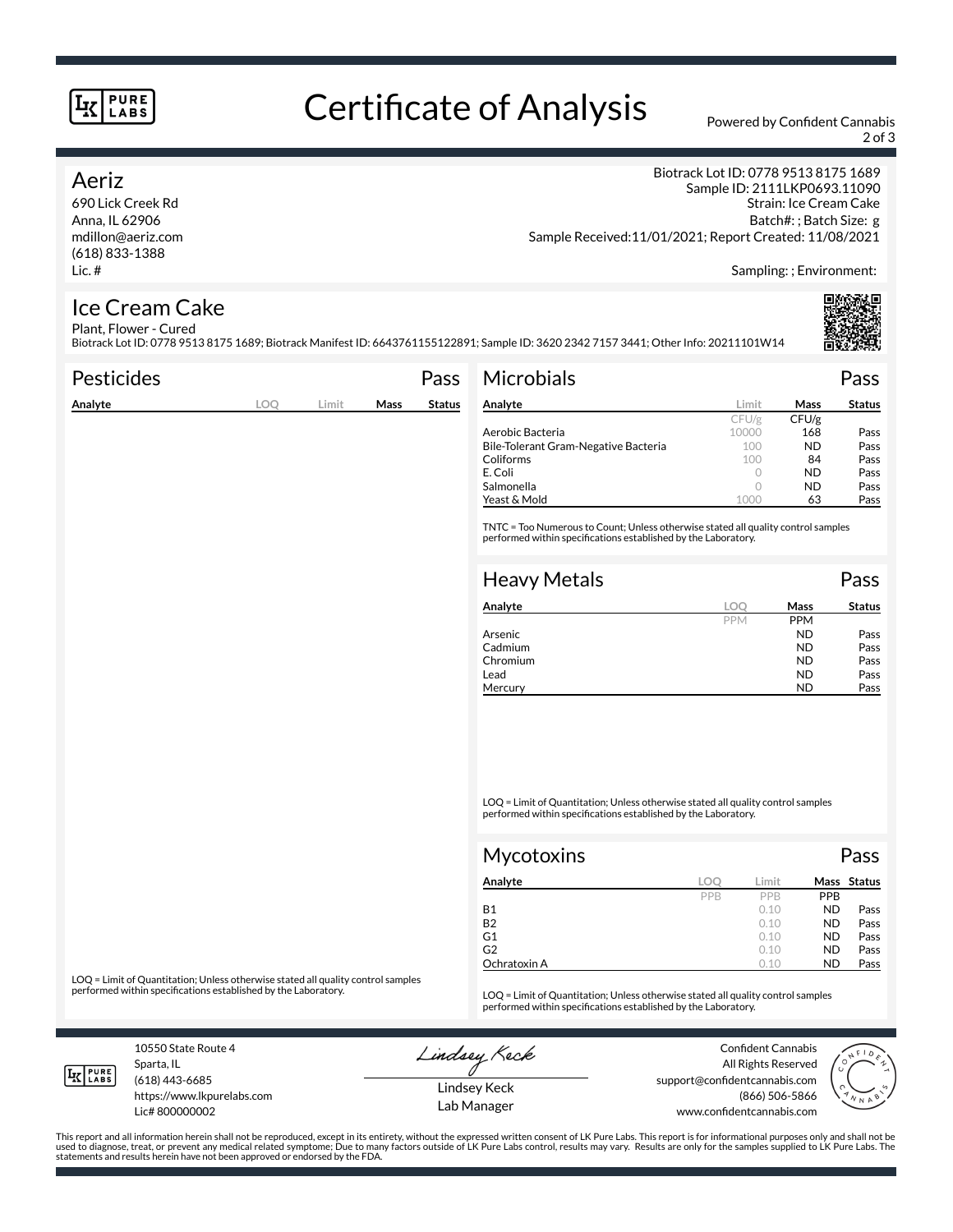#### **PURE** LABS

# Certificate of Analysis Powered by Confident Cannabis

2 of 3

#### Aeriz

690 Lick Creek Rd Anna, IL 62906 mdillon@aeriz.com (618) 833-1388 Lic. #

Biotrack Lot ID: 0778 9513 8175 1689 Sample ID: 2111LKP0693.11090 Strain: Ice Cream Cake Batch#: ; Batch Size: g Sample Received:11/01/2021; Report Created: 11/08/2021

Sampling: ; Environment:

#### Ice Cream Cake Plant, Flower - Cured

Biotrack Lot ID: 0778 9513 8175 1689; Biotrack Manifest ID: 6643761155122891; Sample ID: 3620 2342 7157 3441; Other Info: 20211101W14

| <b>Pesticides</b> |            |       |      | Pass          | <b>Microbials</b>                                                                                                                                   |         |       | Pass          |
|-------------------|------------|-------|------|---------------|-----------------------------------------------------------------------------------------------------------------------------------------------------|---------|-------|---------------|
| Analyte           | <b>LOO</b> | Limit | Mass | <b>Status</b> | Analyte                                                                                                                                             | Limit   | Mass  | <b>Status</b> |
|                   |            |       |      |               |                                                                                                                                                     | CFU/g   | CFU/g |               |
|                   |            |       |      |               | Aerobic Bacteria                                                                                                                                    | 10000   | 168   | Pass          |
|                   |            |       |      |               | Bile-Tolerant Gram-Negative Bacteria                                                                                                                | 100     | ND.   | Pass          |
|                   |            |       |      |               | Coliforms                                                                                                                                           | 100     | 84    | Pass          |
|                   |            |       |      |               | E. Coli                                                                                                                                             | $\circ$ | ND.   | Pass          |
|                   |            |       |      |               | Salmonella                                                                                                                                          | $\circ$ | ND.   | Pass          |
|                   |            |       |      |               | Yeast & Mold                                                                                                                                        | 1000    | 63    | Pass          |
|                   |            |       |      |               | TNTC = Too Numerous to Count; Unless otherwise stated all quality control samples<br>performed within specifications established by the Laboratory. |         |       |               |
|                   |            |       |      |               | <b>Heavy Metals</b>                                                                                                                                 |         |       | Pass          |
|                   |            |       |      |               | Analyte                                                                                                                                             | LOO     | Mass  | <b>Status</b> |

| Analyte  | LOC        | Mass       | <b>Status</b> |
|----------|------------|------------|---------------|
|          | <b>PPM</b> | <b>PPM</b> |               |
| Arsenic  |            | <b>ND</b>  | Pass          |
| Cadmium  |            | <b>ND</b>  | Pass          |
| Chromium |            | <b>ND</b>  | Pass          |
| Lead     |            | <b>ND</b>  | Pass          |
| Mercury  |            | ND         | Pass          |

LOQ = Limit of Quantitation; Unless otherwise stated all quality control samples performed within specifications established by the Laboratory.

| <b>Mycotoxins</b> |     |       |           | Pass        |
|-------------------|-----|-------|-----------|-------------|
| Analyte           | LOO | Limit |           | Mass Status |
|                   | PPB | PPB   | PPB       |             |
| <b>B1</b>         |     | 0.10  | <b>ND</b> | Pass        |
| <b>B2</b>         |     | 0.10  | <b>ND</b> | Pass        |
| G1                |     | 0.10  | <b>ND</b> | Pass        |
| G <sub>2</sub>    |     | 0.10  | <b>ND</b> | Pass        |
| Ochratoxin A      |     | 0.10  | <b>ND</b> | Pass        |

LOQ = Limit of Quantitation; Unless otherwise stated all quality control samples<br>performed within specifications established by the Laboratory.

LOQ = Limit of Quantitation; Unless otherwise stated all quality control samples performed within specifications established by the Laboratory.

10550 State Route 4 Sparta, IL

Lindsey Keck

Confident Cannabis All Rights Reserved support@confidentcannabis.com (866) 506-5866 www.confidentcannabis.com



**LK** LABS

(618) 443-6685

https://www.lkpurelabs.com Lic# 800000002

Lindsey Keck Lab Manager

This report and all information herein shall not be reproduced, except in its entirety, without the expressed written consent of LK Pure Labs. This report is for informational purposes only and shall not be<br>used to diagnos statements and results herein have not been approved or endorsed by the FDA.